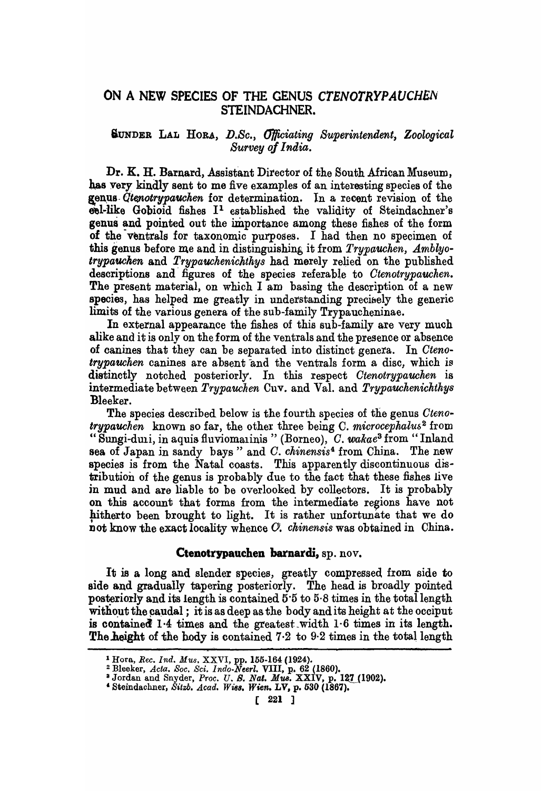## ON A NEW SPECIES OF THE GENUS CTENOTRYPAUCHEN STEINDACHNER.

## SUNDER LAL HORA, *D.Sc., Officiating Superintendent, Zoological Survey oj India.*

Dr. K. H. Barnard, Assistant Director of the South African Museum, has very kindly sent to me five examples of an interesting species of the genus *Qtenotrypauchen* for determination. In a recent revision of the  $e$ bel-like Gobioid fishes  $I<sup>1</sup>$  established the validity of Steindachner's genus and pointed out the importance among these fishes of the form of the ventrals for taxonomic purposes. I had then no specimen of this genus before me and in distinguishing it from *Trypauchen*, Amblyotrypauchen and Trypauchenichthys had merely relied on the published descriptions and figures of the species referable to *Otenotrypauchen.*  The present material, on which I am basing the description of a new species, has helped me greatly in understanding precisely the generic limits of the various genera of the sub-family Trypaucheninae.

In external appearance the fishes of this sub-family are very much alike and it is only on the form of the ventrals and the presence or absence of canines that they can be separated into distinct genera. In *Ctenotrypauchen* canines are absent and the ventrals form a disc, which is distinctly notched posteriorly. In this respect *Otenotrypauchen* is intermediate between *Trypauchen* Cuv. and Val. and *Trypauckenichtkys*  Bleeker.

The species described below is the fourth species of the genus *Ctenot'fypauchen* known so far, the other three being C. *microcephalu52* from "Sungi-duli, in aquia fluviomalinis "(Borneo), O. *wakae3* from" Inland sea of Japan in sandy bays" and *O. chinensis*4 from China. The new species is from the Natal coasts. This apparently discontinuous distribution of the genus is probably due to the fact that these fishes live jn mud and are liable to be overlooked by collectors. It is probably on this account that forms from the intermediate regions have not hitherto been brought to light. It is rather unfortunate that we do not know the exact locality whence G. *ckinensis* was obtained in China.

## Ctenotrypauchen barnardi, ap. nov.

It is a long and slender species, greatly compressed from side to side and gradually tapering posteriorly. The head is broadly pointed posteriorly and its length is contained  $5.5$  to  $5.8$  times in the total length without the caudal; it is as deep as the body and its height at the occiput is contained  $1.4$  times and the greatest width  $1.6$  times in its length. The height of the body is contained  $7.2$  to  $9.2$  times in the total length

<sup>&</sup>lt;sup>1</sup> Hora, Rec. Ind. Mus. XXVI, pp. 155-164 (1924).

<sup>&</sup>lt;sup>2</sup> Bleeker, *Acta. Soc. Sci. Indo-Neerl.* **VIII**, p. 62 (1860).<br><sup>3</sup> Jordan and Snyder, *Proc. U. S. Nat. Mus.* XXIV, p. 127 (1902).

<sup>&#</sup>x27;Steindachner, *Sitw. Acad. Wi88. Wien.* LV, p. 530 (1867).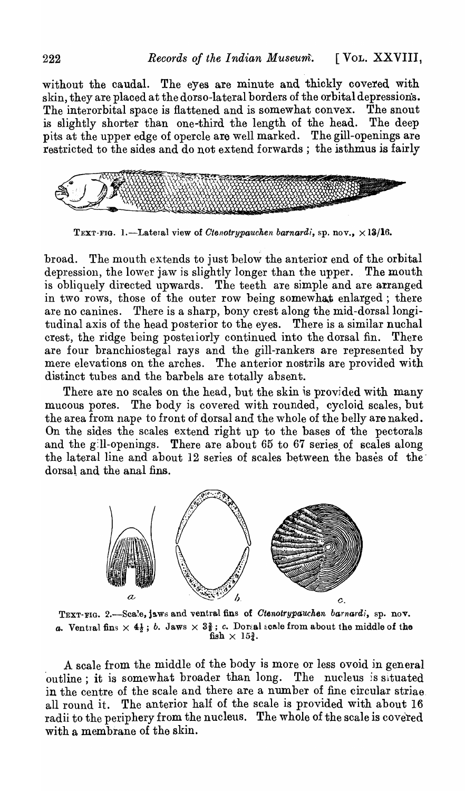without the caudal. The eyes are minute and thickly covered with skin, they are placed at the dorso-lateral borders of the orbital depressions. The interorbital space is flattened and is somewhat convex. The snout is slightly shorter than one-third the length of the head. The deep pits at the upper edge of opercle are well marked. The gill-openings are restricted to the sides and do not extend forwards; the isthmus is fairly



TEXT-FIG. 1.-Lateral view of *Ctenotrypauchen barnardi*, sp. nov., ×13/16.

broad. The mouth extends to just below the anterior end of the orbital depression, the lower jaw is slightly longer than the upper. The mouth is obliquely directed upwards. The teeth are simple and are arranged in two rows, those of the outer row being somewhat enlarged; there are no canines. There is a sharp, bony crest along the mid-dorsal longitudinal axis of the head posterior to the eyes. There is a similar nuchal crest, the ridge being posteriorly continued into the dorsal fin. There are four branchiostegal rays and the gill-rankers are represented by mere elevations on the arches. The anterior nostrils are provided with distinct tubes and the barbels are totally absent.

There are no scales on the head, but the skin is provided with many mucous pores. The body is covered with rounded, cycloid scales, but the area from nape to front of dorsal and the whole of the belly are naked. On the sides the scales extend right up to the bases of the pectorals and the gill-openings. There are about  $65$  to  $67$  series of scales along the lateral line and about 12 series of scales between the bases of thedorsal and the anal fins.



TEXT-FIG. 2.-Scale, jaws and ventral fins of *Ctenotrypauchen barnardi*, sp. nov. *a.* Ventral fins  $\times$  4<sup>1</sup>/<sub>2</sub>; *b.* Jaws  $\times$  3<sup>2</sup>/<sub>3</sub>; *c.* Dorsal scale from about the middle of the fish  $\times$  15 $\frac{3}{4}$ .

A scale from the middle of the body is more or less ovoid in general 'outline; it is somewhat broader than long. The nucleus *is* situated in the centre of the scale and there are a number of fine circular striae. all round it. The anterior half of the scale is provided with about 16 radii to the periphery from the nucleus. The whole of the scale is covered with a membrane of the skin.